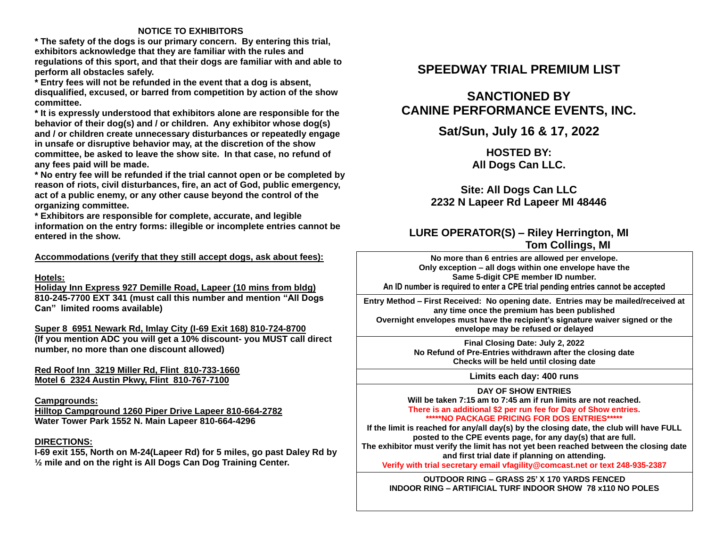## **NOTICE TO EXHIBITORS**

**\* The safety of the dogs is our primary concern. By entering this trial, exhibitors acknowledge that they are familiar with the rules and regulations of this sport, and that their dogs are familiar with and able to perform all obstacles safely.**

**\* Entry fees will not be refunded in the event that a dog is absent, disqualified, excused, or barred from competition by action of the show committee.** 

**\* It is expressly understood that exhibitors alone are responsible for the behavior of their dog(s) and / or children. Any exhibitor whose dog(s) and / or children create unnecessary disturbances or repeatedly engage in unsafe or disruptive behavior may, at the discretion of the show committee, be asked to leave the show site. In that case, no refund of any fees paid will be made.**

**\* No entry fee will be refunded if the trial cannot open or be completed by reason of riots, civil disturbances, fire, an act of God, public emergency, act of a public enemy, or any other cause beyond the control of the organizing committee.**

**\* Exhibitors are responsible for complete, accurate, and legible information on the entry forms: illegible or incomplete entries cannot be entered in the show.**

**Accommodations (verify that they still accept dogs, ask about fees):**

### **Hotels:**

**Holiday Inn Express 927 Demille Road, Lapeer (10 mins from bldg) 810-245-7700 EXT 341 (must call this number and mention "All Dogs Can" limited rooms available)**

**Super 8 6951 Newark Rd, Imlay City (I-69 Exit 168) 810-724-8700 (If you mention ADC you will get a 10% discount- you MUST call direct number, no more than one discount allowed)**

**Red Roof Inn 3219 Miller Rd, Flint 810-733-1660 Motel 6 2324 Austin Pkwy, Flint 810-767-7100**

### **Campgrounds:**

**Hilltop Campground 1260 Piper Drive Lapeer 810-664-2782 Water Tower Park 1552 N. Main Lapeer 810-664-4296** 

### **DIRECTIONS:**

**I-69 exit 155, North on M-24(Lapeer Rd) for 5 miles, go past Daley Rd by ½ mile and on the right is All Dogs Can Dog Training Center.**

## **SPEEDWAY TRIAL PREMIUM LIST**

# **SANCTIONED BY CANINE PERFORMANCE EVENTS, INC.**

## **Sat/Sun, July 16 & 17, 2022**

## **HOSTED BY: All Dogs Can LLC.**

## **Site: All Dogs Can LLC 2232 N Lapeer Rd Lapeer MI 48446**

## **LURE OPERATOR(S) – Riley Herrington, MI Tom Collings, MI**

**No more than 6 entries are allowed per envelope. Only exception – all dogs within one envelope have the Same 5-digit CPE member ID number. An ID number is required to enter a CPE trial pending entries cannot be accepted**

**Entry Method – First Received: No opening date. Entries may be mailed/received at any time once the premium has been published Overnight envelopes must have the recipient's signature waiver signed or the envelope may be refused or delayed**

> **Final Closing Date: July 2, 2022 No Refund of Pre-Entries withdrawn after the closing date Checks will be held until closing date**

> > **Limits each day: 400 runs**

**DAY OF SHOW ENTRIES Will be taken 7:15 am to 7:45 am if run limits are not reached. There is an additional \$2 per run fee for Day of Show entries. \*\*\*\*\*NO PACKAGE PRICING FOR DOS ENTRIES\*\*\*\*\***

**If the limit is reached for any/all day(s) by the closing date, the club will have FULL posted to the CPE events page, for any day(s) that are full. The exhibitor must verify the limit has not yet been reached between the closing date and first trial date if planning on attending.** 

**Verify with trial secretary email vfagility@comcast.net or text 248-935-2387**

**OUTDOOR RING – GRASS 25' X 170 YARDS FENCED INDOOR RING – ARTIFICIAL TURF INDOOR SHOW 78 x110 NO POLES**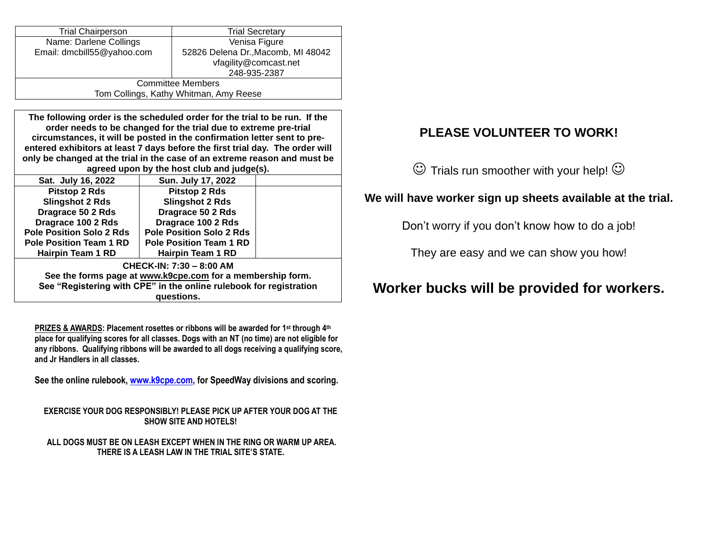| <b>Trial Chairperson</b>               | <b>Trial Secretary</b>             |  |  |
|----------------------------------------|------------------------------------|--|--|
| Name: Darlene Collings                 | Venisa Figure                      |  |  |
| Email: dmcbill55@yahoo.com             | 52826 Delena Dr., Macomb, MI 48042 |  |  |
|                                        | vfagility@comcast.net              |  |  |
|                                        | 248-935-2387                       |  |  |
| <b>Committee Members</b>               |                                    |  |  |
| Tom Collings, Kathy Whitman, Amy Reese |                                    |  |  |

**The following order is the scheduled order for the trial to be run. If the order needs to be changed for the trial due to extreme pre-trial circumstances, it will be posted in the confirmation letter sent to preentered exhibitors at least 7 days before the first trial day. The order will only be changed at the trial in the case of an extreme reason and must be agreed upon by the host club and judge(s).**

|                                                            | Sat. July 16, 2022                                                 | Sun. July 17, 2022              |  |  |  |
|------------------------------------------------------------|--------------------------------------------------------------------|---------------------------------|--|--|--|
|                                                            | <b>Pitstop 2 Rds</b>                                               | <b>Pitstop 2 Rds</b>            |  |  |  |
|                                                            | <b>Slingshot 2 Rds</b>                                             | <b>Slingshot 2 Rds</b>          |  |  |  |
|                                                            | Dragrace 50 2 Rds                                                  | Dragrace 50 2 Rds               |  |  |  |
|                                                            | Dragrace 100 2 Rds                                                 | Dragrace 100 2 Rds              |  |  |  |
|                                                            | <b>Pole Position Solo 2 Rds</b>                                    | <b>Pole Position Solo 2 Rds</b> |  |  |  |
|                                                            | <b>Pole Position Team 1 RD</b>                                     | <b>Pole Position Team 1 RD</b>  |  |  |  |
|                                                            | Hairpin Team 1 RD                                                  | Hairpin Team 1 RD               |  |  |  |
| CHECK-IN: 7:30 - 8:00 AM                                   |                                                                    |                                 |  |  |  |
| See the forms page at www.k9cpe.com for a membership form. |                                                                    |                                 |  |  |  |
|                                                            | See "Registering with CPE" in the online rulebook for registration |                                 |  |  |  |
| questions.                                                 |                                                                    |                                 |  |  |  |
|                                                            |                                                                    |                                 |  |  |  |

**PRIZES & AWARDS: Placement rosettes or ribbons will be awarded for 1st through 4th place for qualifying scores for all classes. Dogs with an NT (no time) are not eligible for any ribbons. Qualifying ribbons will be awarded to all dogs receiving a qualifying score, and Jr Handlers in all classes.** 

**See the online rulebook[, www.k9cpe.com,](http://www.k9cpe.com/) for SpeedWay divisions and scoring.**

**EXERCISE YOUR DOG RESPONSIBLY! PLEASE PICK UP AFTER YOUR DOG AT THE SHOW SITE AND HOTELS!**

**ALL DOGS MUST BE ON LEASH EXCEPT WHEN IN THE RING OR WARM UP AREA. THERE IS A LEASH LAW IN THE TRIAL SITE'S STATE.**

# **PLEASE VOLUNTEER TO WORK!**

 $\odot$  Trials run smoother with your help!  $\odot$ 

## **We will have worker sign up sheets available at the trial.**

Don't worry if you don't know how to do a job!

They are easy and we can show you how!

# **Worker bucks will be provided for workers.**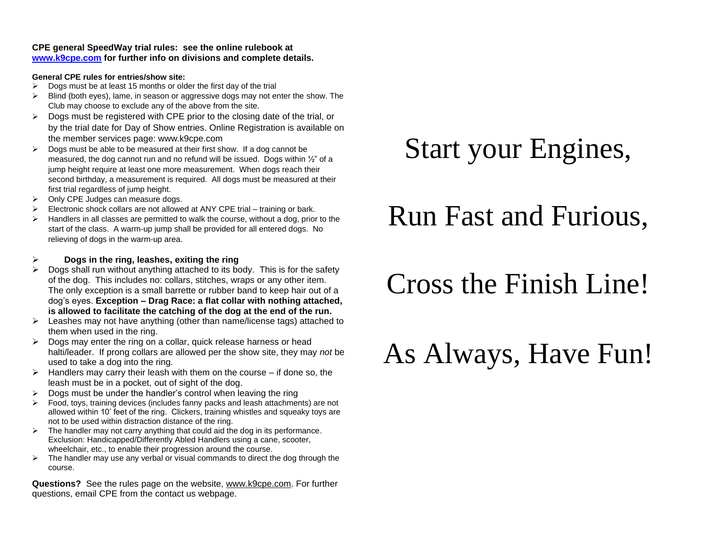### **CPE general SpeedWay trial rules: see the online rulebook at [www.k9cpe.com](http://www.k9cpe.com/) for further info on divisions and complete details.**

## **General CPE rules for entries/show site:**

- $\triangleright$  Dogs must be at least 15 months or older the first day of the trial
- $\triangleright$  Blind (both eyes), lame, in season or aggressive dogs may not enter the show. The Club may choose to exclude any of the above from the site.
- ➢ Dogs must be registered with CPE prior to the closing date of the trial, or by the trial date for Day of Show entries. Online Registration is available on the member services page: www.k9cpe.com
- $\triangleright$  Dogs must be able to be measured at their first show. If a dog cannot be measured, the dog cannot run and no refund will be issued. Dogs within ½" of a jump height require at least one more measurement. When dogs reach their second birthday, a measurement is required. All dogs must be measured at their first trial regardless of jump height.
- ➢ Only CPE Judges can measure dogs.
- $\triangleright$  Electronic shock collars are not allowed at ANY CPE trial training or bark.
- $\triangleright$  Handlers in all classes are permitted to walk the course, without a dog, prior to the start of the class. A warm-up jump shall be provided for all entered dogs. No relieving of dogs in the warm-up area.

## ➢ **Dogs in the ring, leashes, exiting the ring**

- ➢ Dogs shall run without anything attached to its body. This is for the safety of the dog. This includes no: collars, stitches, wraps or any other item. The only exception is a small barrette or rubber band to keep hair out of a dog's eyes. **Exception – Drag Race: a flat collar with nothing attached, is allowed to facilitate the catching of the dog at the end of the run.**
- $\triangleright$  Leashes may not have anything (other than name/license tags) attached to them when used in the ring.
- $\triangleright$  Dogs may enter the ring on a collar, quick release harness or head halti/leader. If prong collars are allowed per the show site, they may *not* be used to take a dog into the ring.
- $\triangleright$  Handlers may carry their leash with them on the course if done so, the leash must be in a pocket, out of sight of the dog.
- ➢ Dogs must be under the handler's control when leaving the ring
- $\triangleright$  Food, toys, training devices (includes fanny packs and leash attachments) are not allowed within 10' feet of the ring. Clickers, training whistles and squeaky toys are not to be used within distraction distance of the ring.
- $\triangleright$  The handler may not carry anything that could aid the dog in its performance. Exclusion: Handicapped/Differently Abled Handlers using a cane, scooter, wheelchair, etc., to enable their progression around the course.
- $\triangleright$  The handler may use any verbal or visual commands to direct the dog through the course.

**Questions?** See the rules page on the website, [www.k9cpe.com.](http://www.k9cpe.com/) For further questions, email CPE from the contact us webpage.

# Start your Engines,

# Run Fast and Furious,

# Cross the Finish Line!

# As Always, Have Fun!